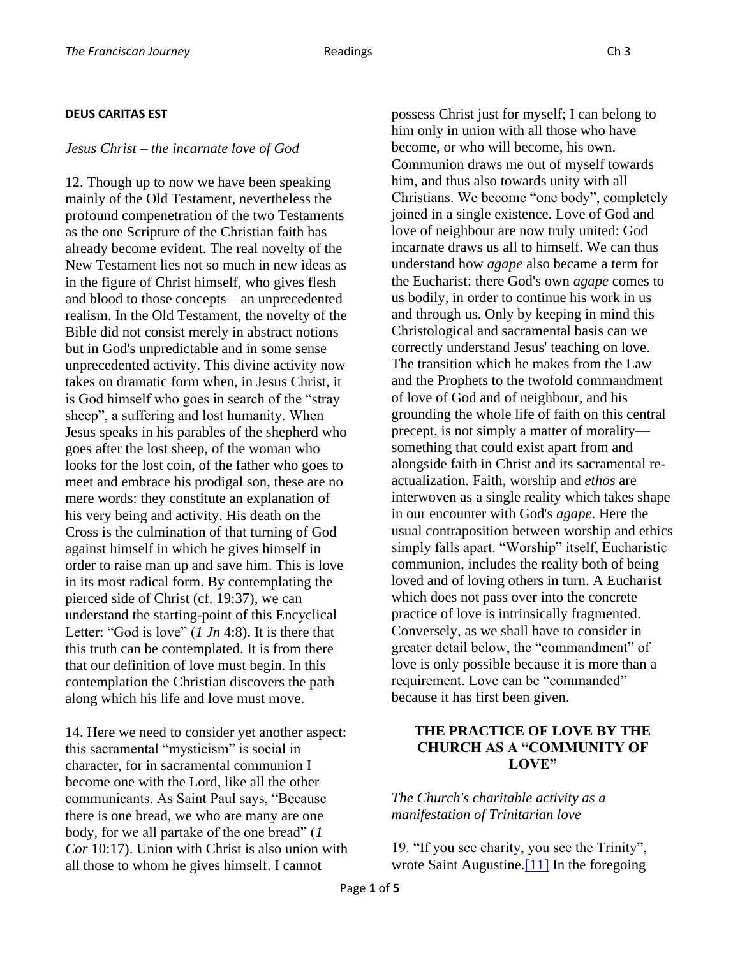# **DEUS CARITAS EST**

# *Jesus Christ – the incarnate love of God*

12. Though up to now we have been speaking mainly of the Old Testament, nevertheless the profound compenetration of the two Testaments as the one Scripture of the Christian faith has already become evident. The real novelty of the New Testament lies not so much in new ideas as in the figure of Christ himself, who gives flesh and blood to those concepts—an unprecedented realism. In the Old Testament, the novelty of the Bible did not consist merely in abstract notions but in God's unpredictable and in some sense unprecedented activity. This divine activity now takes on dramatic form when, in Jesus Christ, it is God himself who goes in search of the "stray sheep", a suffering and lost humanity. When Jesus speaks in his parables of the shepherd who goes after the lost sheep, of the woman who looks for the lost coin, of the father who goes to meet and embrace his prodigal son, these are no mere words: they constitute an explanation of his very being and activity. His death on the Cross is the culmination of that turning of God against himself in which he gives himself in order to raise man up and save him. This is love in its most radical form. By contemplating the pierced side of Christ (cf. 19:37), we can understand the starting-point of this Encyclical Letter: "God is love" (*1 Jn* 4:8). It is there that this truth can be contemplated. It is from there that our definition of love must begin. In this contemplation the Christian discovers the path along which his life and love must move.

14. Here we need to consider yet another aspect: this sacramental "mysticism" is social in character, for in sacramental communion I become one with the Lord, like all the other communicants. As Saint Paul says, "Because there is one bread, we who are many are one body, for we all partake of the one bread" (*1 Cor* 10:17). Union with Christ is also union with all those to whom he gives himself. I cannot

possess Christ just for myself; I can belong to him only in union with all those who have become, or who will become, his own. Communion draws me out of myself towards him, and thus also towards unity with all Christians. We become "one body", completely joined in a single existence. Love of God and love of neighbour are now truly united: God incarnate draws us all to himself. We can thus understand how *agape* also became a term for the Eucharist: there God's own *agape* comes to us bodily, in order to continue his work in us and through us. Only by keeping in mind this Christological and sacramental basis can we correctly understand Jesus' teaching on love. The transition which he makes from the Law and the Prophets to the twofold commandment of love of God and of neighbour, and his grounding the whole life of faith on this central precept, is not simply a matter of morality something that could exist apart from and alongside faith in Christ and its sacramental reactualization. Faith, worship and *ethos* are interwoven as a single reality which takes shape in our encounter with God's *agape*. Here the usual contraposition between worship and ethics simply falls apart. "Worship" itself, Eucharistic communion, includes the reality both of being loved and of loving others in turn. A Eucharist which does not pass over into the concrete practice of love is intrinsically fragmented. Conversely, as we shall have to consider in greater detail below, the "commandment" of love is only possible because it is more than a requirement. Love can be "commanded" because it has first been given.

# **THE PRACTICE OF LOVE BY THE CHURCH AS A "COMMUNITY OF LOVE"**

*The Church's charitable activity as a manifestation of Trinitarian love*

19. "If you see charity, you see the Trinity", wrote Saint Augustine.<sup>[11]</sup> In the foregoing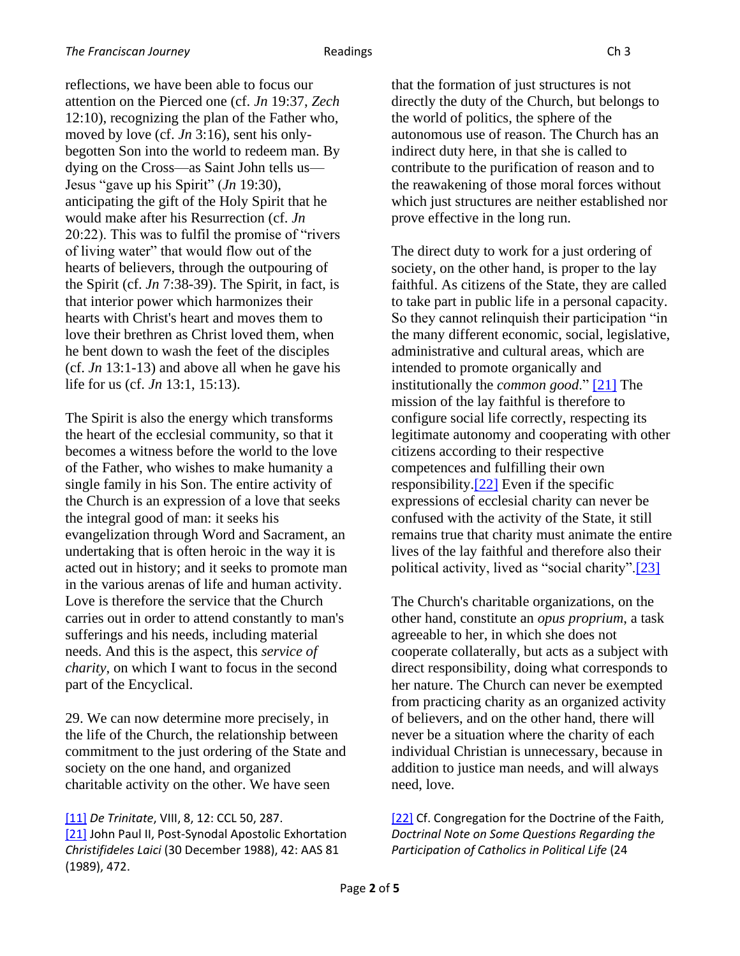reflections, we have been able to focus our attention on the Pierced one (cf. *Jn* 19:37, *Zech* 12:10), recognizing the plan of the Father who, moved by love (cf. *Jn* 3:16), sent his onlybegotten Son into the world to redeem man. By dying on the Cross—as Saint John tells us— Jesus "gave up his Spirit" (*Jn* 19:30), anticipating the gift of the Holy Spirit that he would make after his Resurrection (cf. *Jn* 20:22). This was to fulfil the promise of "rivers of living water" that would flow out of the hearts of believers, through the outpouring of the Spirit (cf. *Jn* 7:38-39). The Spirit, in fact, is that interior power which harmonizes their hearts with Christ's heart and moves them to love their brethren as Christ loved them, when he bent down to wash the feet of the disciples (cf. *Jn* 13:1-13) and above all when he gave his life for us (cf. *Jn* 13:1, 15:13).

The Spirit is also the energy which transforms the heart of the ecclesial community, so that it becomes a witness before the world to the love of the Father, who wishes to make humanity a single family in his Son. The entire activity of the Church is an expression of a love that seeks the integral good of man: it seeks his evangelization through Word and Sacrament, an undertaking that is often heroic in the way it is acted out in history; and it seeks to promote man in the various arenas of life and human activity. Love is therefore the service that the Church carries out in order to attend constantly to man's sufferings and his needs, including material needs. And this is the aspect, this *service of charity*, on which I want to focus in the second part of the Encyclical.

29. We can now determine more precisely, in the life of the Church, the relationship between commitment to the just ordering of the State and society on the one hand, and organized charitable activity on the other. We have seen

[\[11\]](http://w2.vatican.va/content/benedict-xvi/en/encyclicals/documents/hf_ben-xvi_enc_20051225_deus-caritas-est.html#_ftnref11) *De Trinitate*, VIII, 8, 12: CCL 50, 287. [\[21\]](http://w2.vatican.va/content/benedict-xvi/en/encyclicals/documents/hf_ben-xvi_enc_20051225_deus-caritas-est.html#_ftnref21) John Paul II, Post-Synodal Apostolic Exhortation *Christifideles Laici* (30 December 1988), 42: AAS 81 (1989), 472.

that the formation of just structures is not directly the duty of the Church, but belongs to the world of politics, the sphere of the autonomous use of reason. The Church has an indirect duty here, in that she is called to contribute to the purification of reason and to the reawakening of those moral forces without which just structures are neither established nor prove effective in the long run.

The direct duty to work for a just ordering of society, on the other hand, is proper to the lay faithful. As citizens of the State, they are called to take part in public life in a personal capacity. So they cannot relinquish their participation "in the many different economic, social, legislative, administrative and cultural areas, which are intended to promote organically and institutionally the *common good*." [\[21\]](http://w2.vatican.va/content/benedict-xvi/en/encyclicals/documents/hf_ben-xvi_enc_20051225_deus-caritas-est.html#_ftn21) The mission of the lay faithful is therefore to configure social life correctly, respecting its legitimate autonomy and cooperating with other citizens according to their respective competences and fulfilling their own responsibility[.\[22\]](http://w2.vatican.va/content/benedict-xvi/en/encyclicals/documents/hf_ben-xvi_enc_20051225_deus-caritas-est.html#_ftn22) Even if the specific expressions of ecclesial charity can never be confused with the activity of the State, it still remains true that charity must animate the entire lives of the lay faithful and therefore also their political activity, lived as "social charity"[.\[23\]](http://w2.vatican.va/content/benedict-xvi/en/encyclicals/documents/hf_ben-xvi_enc_20051225_deus-caritas-est.html#_ftn23)

The Church's charitable organizations, on the other hand, constitute an *opus proprium*, a task agreeable to her, in which she does not cooperate collaterally, but acts as a subject with direct responsibility, doing what corresponds to her nature. The Church can never be exempted from practicing charity as an organized activity of believers, and on the other hand, there will never be a situation where the charity of each individual Christian is unnecessary, because in addition to justice man needs, and will always need, love.

[\[22\]](http://w2.vatican.va/content/benedict-xvi/en/encyclicals/documents/hf_ben-xvi_enc_20051225_deus-caritas-est.html#_ftnref22) Cf. Congregation for the Doctrine of the Faith, *Doctrinal Note on Some Questions Regarding the Participation of Catholics in Political Life* (24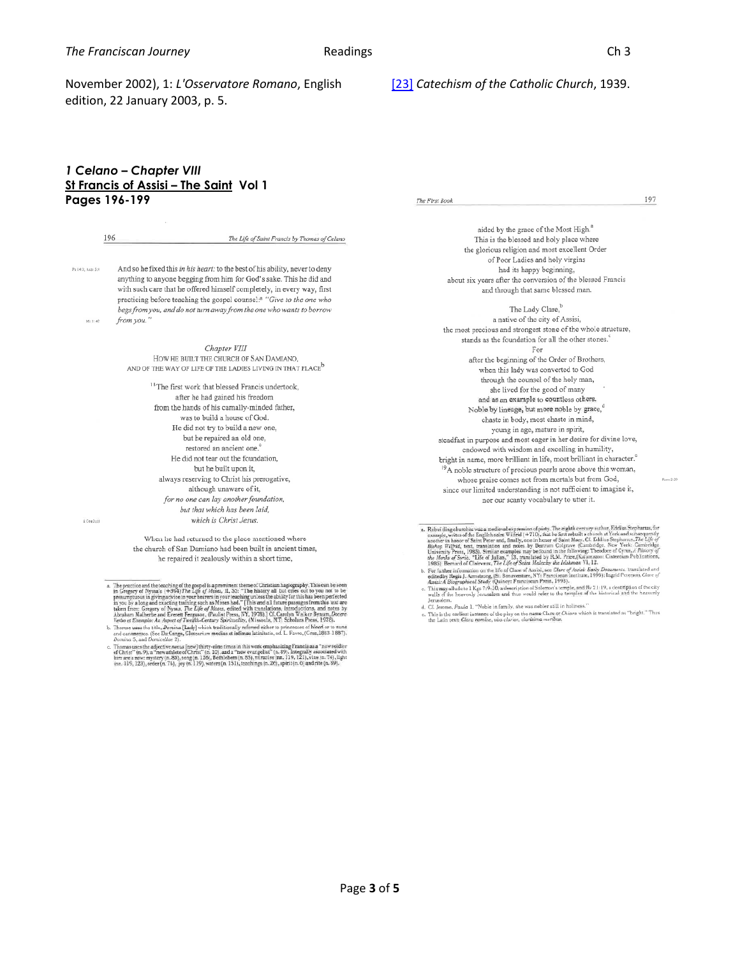#### [\[23\]](http://w2.vatican.va/content/benedict-xvi/en/encyclicals/documents/hf_ben-xvi_enc_20051225_deus-caritas-est.html#_ftnref23) *Catechism of the Catholic Church*, 1939.

#### *1 Celano – Chapter VIII* **St Francis of Assisi - The Saint Vol 1 Pages 196-199**

The First Book

197

196

The Life of Saint Francis by Thomas of Celano

And so he fixed this in his heart: to the best of his ability, never to deny Ps 14:1; Acts 5:4 anything to anyone begging from him for God's sake. This he did and with such care that he offered himself completely, in every way, first practicing before teaching the gospel counsel:<sup>a</sup> "Give to the one who begs from you, and do not turn away from the one who wants to borrow M: 5: 42 from you.

> Chapter VIII HOW HE BUILT THE CHURCH OF SAN DAMIANO. AND OF THE WAY OF LIFE OF THE LADIES LIVING IN THAT  $\texttt{PLACE}^{\text{b}}$

> > <sup>18</sup>The first work that blessed Francis undertook, after he had gained his freedom from the hands of his carnally-minded father, was to build a house of God. He did not try to build a new one, but he repaired an old one, restored an ancient one. He did not tear out the foundation, but he built upon it, always reserving to Christ his prerogative, although unaware of it, for no one can lay another foundation, but that which has been laid, which is Christ Jesus.

 $i$  Cer $\lambda$ <sub>2</sub>1

When he had returned to the place mentioned where the church of San Damiano had been built in ancient times, he repaired it zealously within a short time,

aided by the grace of the Most High.<sup>8</sup> This is the blessed and holy place where the glorious religion and most excellent Order of Poor Ladies and holy virgins had its happy beginning, about six years after the conversion of the blessed Francis and through that same blessed man.

- The Lady Clare,<sup>b</sup> a native of the city of Assisi, the most precious and strongest stone of the whole structure, stands as the foundation for all the other stones.<sup>6</sup> For after the beginning of the Order of Brothers, when this lady was converted to God through the counsel of the holy man, she lived for the good of many and as an example to countless others. Noble by lineage, but more noble by grace,<sup>d</sup> chaste in body, most chaste in mind, young in age, mature in spirit, steadfast in purpose and most eager in her desire for divine love, endowed with wisdom and excelling in humility, bright in name, more brilliant in life, most brilliant in character." <sup>19</sup>A noble structure of precious pearls arose above this woman, whose praise comes not from mortals but from God, since our limited understanding is not sufficient to imagine it, nor our scanty vocabulary to utter it.
- a. Rebuilding church<br>as was a medieval expression of piety. The eighth century suthor, Eddius Stephanus, for the<br>sample, where of the English sink (1941) and the first reduit is charged as<br>able to absolute in bason of Sai
- 
- Assisi: A Biographical Study (Quincy: Franciscan Fress, 1999).<br>This may allude to 1 Kgs 7:9-30, a description of Solomon's temple, and Rv 21:19, a description of the city<br>walls of the heavenly Jerusalem and thus would refe salem
- Jerusalem.<br>d. Cf. Jerome, Paula 1, "Noble in family, she was nobler still in holiness."
- e. Chi sis the entitlest instance of the play on the name Clare or Chiara which is translated as "bright." Thus<br>This is the entitled instance of the play on the name Clare or Chiara which is translated as "bright." Thus<br>th

a. The precise and the teaching of the geopel is a prominent theme of Christian haging<br>paper). This can be seen in Gregory of Nyssa's (+394) The Life of Moses, II, SS: "The history all but crees out to you not to be premu

From as uses the adjective normal from) thirty-nine times in this work emphasizing Francis as a "now soldier of  $(0.0\text{fm})$ , "new athlete of Crinit" (n. 9), and a "how evargelist" (n. 9), three cults in the form and the s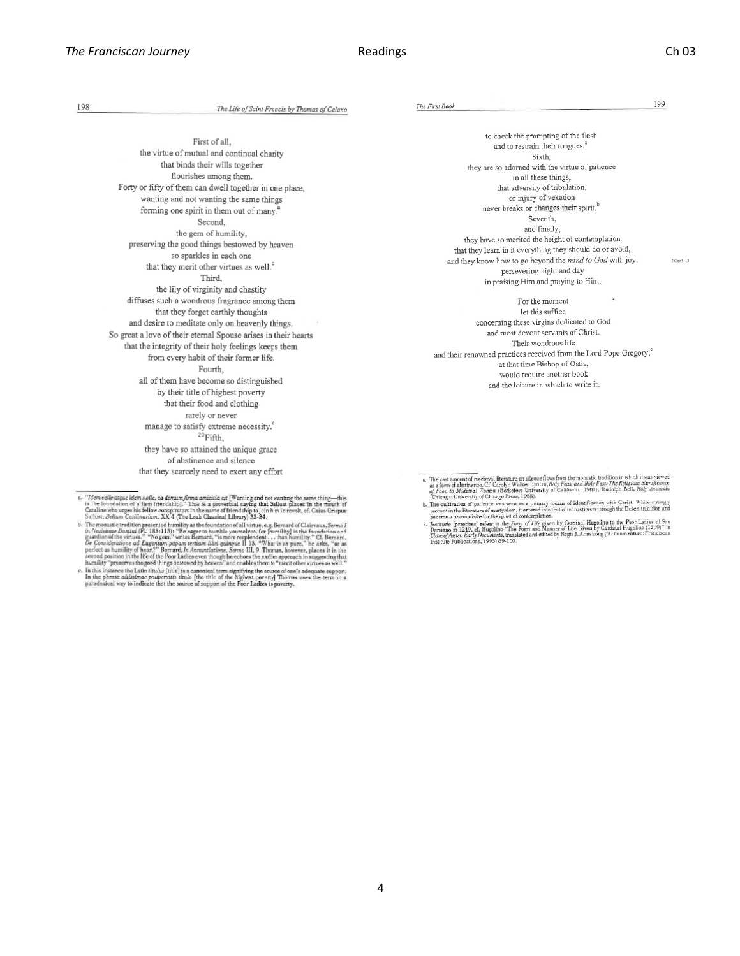198

2 Cor 5:13

199

The Life of Saint Francis by Thomas of Celano

First of all, the virtue of mutual and continual charity that binds their wills together flourishes among them. Forty or fifty of them can dwell together in one place, wanting and not wanting the same things forming one spirit in them out of many.<sup>8</sup> Second, the gem of humility, preserving the good things bestowed by heaven so sparkles in each one that they merit other virtues as well.<sup>b</sup> Third. the lily of virginity and chastity diffuses such a wondrous fragrance among them that they forget earthly thoughts and desire to meditate only on heavenly things. So great a love of their eternal Spouse arises in their hearts that the integrity of their holy feelings keeps them from every habit of their former life. Fourth, all of them have become so distinguished by their title of highest poverty that their food and clothing rarely or never manage to satisfy extreme necessity.<sup>c</sup>  $20$ Fifth, they have so attained the unique grace of abstinence and silence that they scarcely need to exert any effort

The First Book

to check the prompting of the flesh and to restrain their tongues.<sup>2</sup> Sixth. they are so adorned with the virtue of patience in all these things, that adversity of tribulation, or injury of vexation never breaks or changes their spirit.<sup>b</sup> Seventh. and finally. they have so merited the height of contemplation that they learn in it everything they should do or avoid, and they know how to go beyond the mind to God with joy, persevering night and day in praising Him and praying to Him.

For the moment let this suffice concerning these virgins dedicated to God and most devout servants of Christ. Their wondrous life and their renowned practices received from the Lord Pope Gregory, at that time Bishop of Ostia, would require another book and the leisure in which to write it.

s. "*Idem relie atque idem nolle, ea demum firma amicitia est* [Waming and not wanting the same thing—this is the foundation of a firm friendahip]. "This is a proverbial saying that Salluat places in the mouth of factalin

Sature, power contains a AA et the Louis Cause of the moment and the moment of the moment of the increase of the moment of the state of the state of the state of the state of the state of the state of the state of the sta

c. In this instance the Latin titular (it<br>le) is a canonical term signifying the source of one's adequate support. In the phrase adiasimac parpent<br>atis titulo (the title of the highest poverty) Thomas uses the term in a p

a. The vast amount of medieval literature on silence flows from the monastic tradition in which it was viewed as a form of abstraction. C. Carolyn Walker Byrum, Holy Feast and Holy Fast: The Religious Significance of Food